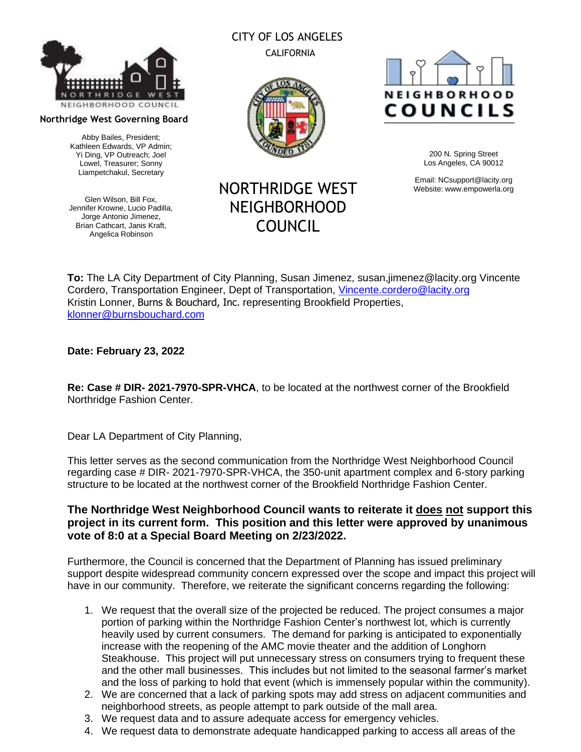

#### **Northridge West Governing Board**

Abby Bailes, President; Kathleen Edwards, VP Admin; Yi Ding, VP Outreach; Joel Lowel, Treasurer; Sonny Liampetchakul, Secretary

Glen Wilson, Bill Fox, Jennifer Krowne, Lucio Padilla, Jorge Antonio Jimenez, Brian Cathcart, Janis Kraft, Angelica Robinson

## CITY OF LOS ANGELES CALIFORNIA



# **NEIGHBORHOOD** COUNCILS

200 N. Spring Street Los Angeles, CA 90012

Email: [NCsupport@lacity.org](mailto:NCsupport@lacity.org) Website: [www.empowerla.org](http://www.empowerla.org/)

# NORTHRIDGE WEST NEIGHBORHOOD COUNCIL

**To:** The LA City Department of City Planning, Susan Jimenez, susan,jimenez@lacity.org Vincente Cordero, Transportation Engineer, Dept of Transportation, [Vincente.cordero@lacity.org](mailto:Vincente.cordero@lacity.org) Kristin Lonner, Burns & Bouchard, Inc. representing Brookfield Properties, [klonner@burnsbouchard.com](mailto:klonner@burnsbouchard.com)

#### **Date: February 23, 2022**

**Re: Case # DIR- 2021-7970-SPR-VHCA**, to be located at the northwest corner of the Brookfield Northridge Fashion Center.

Dear LA Department of City Planning,

This letter serves as the second communication from the Northridge West Neighborhood Council regarding case # DIR- 2021-7970-SPR-VHCA, the 350-unit apartment complex and 6-story parking structure to be located at the northwest corner of the Brookfield Northridge Fashion Center.

## **The Northridge West Neighborhood Council wants to reiterate it does not support this project in its current form. This position and this letter were approved by unanimous vote of 8:0 at a Special Board Meeting on 2/23/2022.**

Furthermore, the Council is concerned that the Department of Planning has issued preliminary support despite widespread community concern expressed over the scope and impact this project will have in our community. Therefore, we reiterate the significant concerns regarding the following:

- 1. We request that the overall size of the projected be reduced. The project consumes a major portion of parking within the Northridge Fashion Center's northwest lot, which is currently heavily used by current consumers. The demand for parking is anticipated to exponentially increase with the reopening of the AMC movie theater and the addition of Longhorn Steakhouse. This project will put unnecessary stress on consumers trying to frequent these and the other mall businesses. This includes but not limited to the seasonal farmer's market and the loss of parking to hold that event (which is immensely popular within the community).
- 2. We are concerned that a lack of parking spots may add stress on adjacent communities and neighborhood streets, as people attempt to park outside of the mall area.
- 3. We request data and to assure adequate access for emergency vehicles.
- 4. We request data to demonstrate adequate handicapped parking to access all areas of the